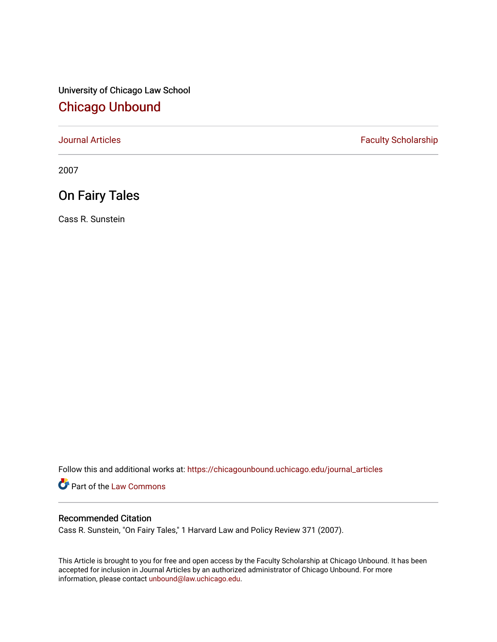University of Chicago Law School [Chicago Unbound](https://chicagounbound.uchicago.edu/)

[Journal Articles](https://chicagounbound.uchicago.edu/journal_articles) **Faculty Scholarship Faculty Scholarship** 

2007

## On Fairy Tales

Cass R. Sunstein

Follow this and additional works at: [https://chicagounbound.uchicago.edu/journal\\_articles](https://chicagounbound.uchicago.edu/journal_articles?utm_source=chicagounbound.uchicago.edu%2Fjournal_articles%2F8483&utm_medium=PDF&utm_campaign=PDFCoverPages) 

Part of the [Law Commons](http://network.bepress.com/hgg/discipline/578?utm_source=chicagounbound.uchicago.edu%2Fjournal_articles%2F8483&utm_medium=PDF&utm_campaign=PDFCoverPages)

## Recommended Citation

Cass R. Sunstein, "On Fairy Tales," 1 Harvard Law and Policy Review 371 (2007).

This Article is brought to you for free and open access by the Faculty Scholarship at Chicago Unbound. It has been accepted for inclusion in Journal Articles by an authorized administrator of Chicago Unbound. For more information, please contact [unbound@law.uchicago.edu](mailto:unbound@law.uchicago.edu).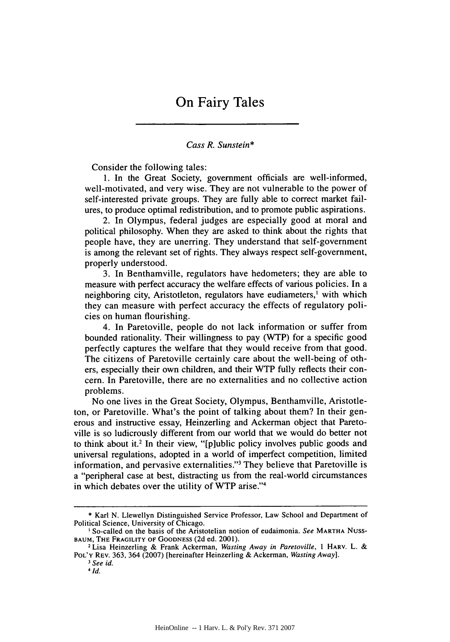## *Cass R. Sunstein\**

Consider the following tales:

1. In the Great Society, government officials are well-informed, well-motivated, and very wise. They are not vulnerable to the power of self-interested private groups. They are fully able to correct market failures, to produce optimal redistribution, and to promote public aspirations.

2. In Olympus, federal judges are especially good at moral and political philosophy. When they are asked to think about the rights that people have, they are unerring. They understand that self-government is among the relevant set of rights. They always respect self-government, properly understood.

3. In Benthamville, regulators have hedometers; they are able to measure with perfect accuracy the welfare effects of various policies. In a neighboring city, Aristotleton, regulators have eudiameters,' with which they can measure with perfect accuracy the effects of regulatory policies on human flourishing.

4. In Paretoville, people do not lack information or suffer from bounded rationality. Their willingness to pay (WTP) for a specific good perfectly captures the welfare that they would receive from that good. The citizens of Paretoville certainly care about the well-being of others, especially their own children, and their WTP fully reflects their concern. In Paretoville, there are no externalities and no collective action problems.

No one lives in the Great Society, Olympus, Benthamville, Aristotleton, or Paretoville. What's the point of talking about them? In their generous and instructive essay, Heinzerling and Ackerman object that Paretoville is so ludicrously different from our world that we would do better not to think about it.2 In their view, "[p]ublic policy involves public goods and universal regulations, adopted in a world of imperfect competition, limited information, and pervasive externalities."3 They believe that Paretoville is a "peripheral case at best, distracting us from the real-world circumstances in which debates over the utility of WTP arise."4

<sup>\*</sup> Karl N. Llewellyn Distinguished Service Professor, Law School and Department of Political Science, University of Chicago.

ISo-called on the basis of the Aristotelian notion of eudaimonia. *See* **MARTHA** Nuss-**BAUM,** THE FRAGILITY OF **GOODNESS** (2d ed. 2001).

**<sup>2</sup>** Lisa Heinzerling & Frank Ackerman, *Wasting Away in Paretoville, I* HARv. L. & POL'Y REV. 363, 364 (2007) [hereinafter Heinzerling & Ackerman, *Wasting Away].*

*<sup>I</sup>See id. <sup>4</sup>*

*<sup>1</sup>d.*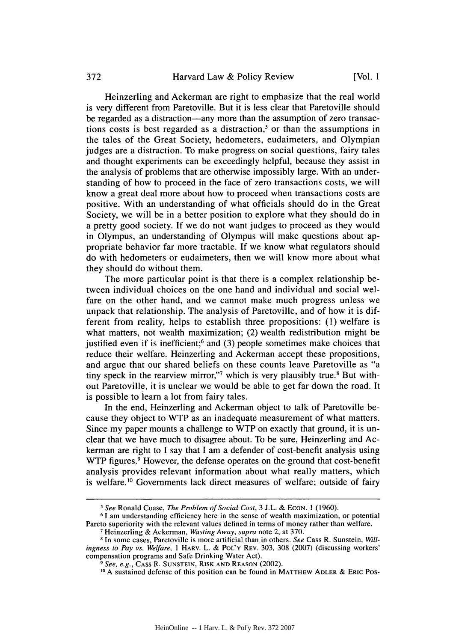Heinzerling and Ackerman are right to emphasize that the real world is very different from Paretoville. But it is less clear that Paretoville should be regarded as a distraction—any more than the assumption of zero transactions costs is best regarded as a distraction,<sup>5</sup> or than the assumptions in the tales of the Great Society, hedometers, eudaimeters, and Olympian judges are a distraction. To make progress on social questions, fairy tales and thought experiments can be exceedingly helpful, because they assist in the analysis of problems that are otherwise impossibly large. With an understanding of how to proceed in the face of zero transactions costs, we will know a great deal more about how to proceed when transactions costs are positive. With an understanding of what officials should do in the Great Society, we will be in a better position to explore what they should do in a pretty good society. If we do not want judges to proceed as they would in Olympus, an understanding of Olympus will make questions about appropriate behavior far more tractable. If we know what regulators should do with hedometers or eudaimeters, then we will know more about what they should do without them.

The more particular point is that there is a complex relationship between individual choices on the one hand and individual and social welfare on the other hand, and we cannot make much progress unless we unpack that relationship. The analysis of Paretoville, and of how it is different from reality, helps to establish three propositions: (1) welfare is what matters, not wealth maximization; (2) wealth redistribution might be justified even if is inefficient;<sup>6</sup> and (3) people sometimes make choices that reduce their welfare. Heinzerling and Ackerman accept these propositions, and argue that our shared beliefs on these counts leave Paretoville as "a tiny speck in the rearview mirror,"<sup>7</sup> which is very plausibly true.<sup>8</sup> But without Paretoville, it is unclear we would be able to get far down the road. It is possible to learn a lot from fairy tales.

In the end, Heinzerling and Ackerman object to talk of Paretoville because they object to WTP as an inadequate measurement of what matters. Since my paper mounts a challenge to WTP on exactly that ground, it is unclear that we have much to disagree about. To be sure, Heinzerling and Ackerman are right to I say that I am a defender of cost-benefit analysis using WTP figures.<sup>9</sup> However, the defense operates on the ground that cost-benefit analysis provides relevant information about what really matters, which is welfare.<sup>10</sup> Governments lack direct measures of welfare; outside of fairy

*<sup>&#</sup>x27; See* Ronald Coase, *The Problem of Social Cost,* 3 J.L. & ECON. 1 (1960).

**<sup>6</sup>1** am understanding efficiency here in the sense of wealth maximization, or potential Pareto superiority with the relevant values defined in terms of money rather than welfare. **7** Heinzerling & Ackerman, *Wasting Away, supra* note 2, at 370.

<sup>&</sup>lt;sup>8</sup> In some cases, Paretoville is more artificial than in others. *See* Cass R. Sunstein, *Willingness to Pay vs. Welfare,* 1 HARV. L. & **POL'Y** REV. 303, 308 (2007) (discussing workers' compensation programs and Safe Drinking Water Act).<br><sup>9</sup> See, e.g., CASS R. SUNSTEIN, RISK AND REASON (2002).

<sup>&</sup>lt;sup>10</sup> A sustained defense of this position can be found in MATTHEW ADLER & ERIC POs-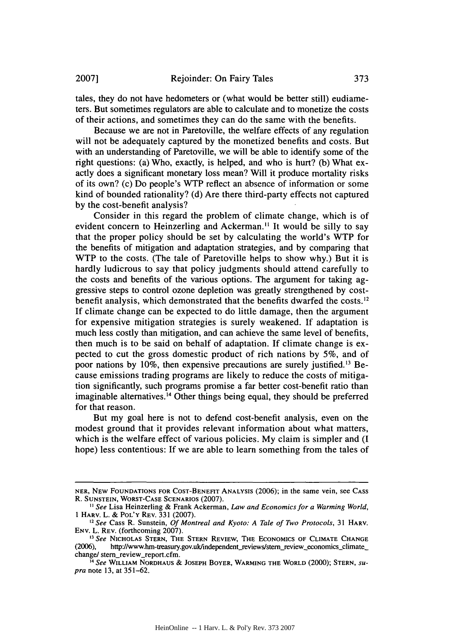tales, they do not have hedometers or (what would be better still) eudiameters. But sometimes regulators are able to calculate and to monetize the costs of their actions, and sometimes they can do the same with the benefits.

Because we are not in Paretoville, the welfare effects of any regulation will not be adequately captured by the monetized benefits and costs. But with an understanding of Paretoville, we will be able to identify some of the right questions: (a) Who, exactly, is helped, and who is hurt? (b) What exactly does a significant monetary loss mean? Will it produce mortality risks of its own? (c) Do people's WTP reflect an absence of information or some kind of bounded rationality? (d) Are there third-party effects not captured by the cost-benefit analysis?

Consider in this regard the problem of climate change, which is of evident concern to Heinzerling and Ackerman.<sup>11</sup> It would be silly to say that the proper policy should be set by calculating the world's WTP for the benefits of mitigation and adaptation strategies, and by comparing that WTP to the costs. (The tale of Paretoville helps to show why.) But it is hardly ludicrous to say that policy judgments should attend carefully to the costs and benefits of the various options. The argument for taking aggressive steps to control ozone depletion was greatly strengthened by costbenefit analysis, which demonstrated that the benefits dwarfed the costs. $^{12}$ If climate change can be expected to do little damage, then the argument for expensive mitigation strategies is surely weakened. If adaptation is much less costly than mitigation, and can achieve the same level of benefits, then much is to be said on behalf of adaptation. If climate change is expected to cut the gross domestic product of rich nations by 5%, and of poor nations by  $10\%$ , then expensive precautions are surely justified.<sup>13</sup> Because emissions trading programs are likely to reduce the costs of mitigation significantly, such programs promise a far better cost-benefit ratio than imaginable alternatives.<sup>14</sup> Other things being equal, they should be preferred for that reason.

But my goal here is not to defend cost-benefit analysis, even on the modest ground that it provides relevant information about what matters, which is the welfare effect of various policies. My claim is simpler and (I hope) less contentious: If we are able to learn something from the tales of

NER, NEW **FOUNDATIONS** FOR **COST-BENEFIT ANALYSIS** (2006); in the same vein, see CASS R. **SUNSTEIN,** WORST-CASE **SCENARIOS** (2007).

*<sup>&</sup>quot; See* Lisa Heinzerling & Frank Ackerman, *Law and Economics for a Warming World,* 1 HARV. L. & POL'Y REV. 331 (2007).

*<sup>2</sup>See* Cass R. Sunstein, *Of Montreal and Kyoto: A Tale of Two Protocols,* 31 HARV. ENV. L. REV. (forthcoming 2007). *3 See* NICHOLAS **STERN,** THE **STERN** REVIEW, THE **ECONOMICS** OF **CLIMATE CHANGE**

<sup>(2006),</sup> http://www.hm-treasury.gov.uk/independent\_reviews/stern\_review\_economics\_climate\_ change/ stern review\_report.cfm.

*<sup>4</sup> See* WILLIAM **NORDHAUS & JOSEPH BOYER,** WARMING **THE** WORLD (2000); **STERN,** *supra* note **13,** at 351-62.